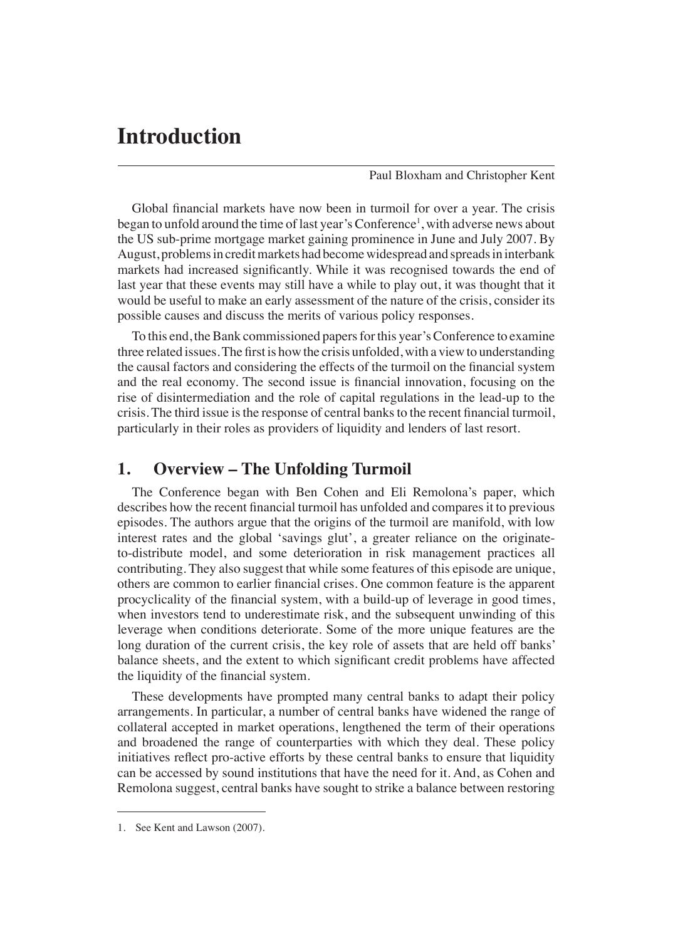# **Introduction**

Paul Bloxham and Christopher Kent

Global financial markets have now been in turmoil for over a year. The crisis began to unfold around the time of last year's Conference<sup>1</sup>, with adverse news about the US sub-prime mortgage market gaining prominence in June and July 2007. By August, problems in credit markets had become widespread and spreads in interbank markets had increased significantly. While it was recognised towards the end of last year that these events may still have a while to play out, it was thought that it would be useful to make an early assessment of the nature of the crisis, consider its possible causes and discuss the merits of various policy responses.

To this end, the Bank commissioned papers for this year's Conference to examine three related issues. The first is how the crisis unfolded, with a view to understanding the causal factors and considering the effects of the turmoil on the financial system and the real economy. The second issue is financial innovation, focusing on the rise of disintermediation and the role of capital regulations in the lead-up to the crisis. The third issue is the response of central banks to the recent financial turmoil, particularly in their roles as providers of liquidity and lenders of last resort.

### **1. Overview – The Unfolding Turmoil**

The Conference began with Ben Cohen and Eli Remolona's paper, which describes how the recent financial turmoil has unfolded and compares it to previous episodes. The authors argue that the origins of the turmoil are manifold, with low interest rates and the global 'savings glut', a greater reliance on the originateto-distribute model, and some deterioration in risk management practices all contributing. They also suggest that while some features of this episode are unique, others are common to earlier financial crises. One common feature is the apparent procyclicality of the financial system, with a build-up of leverage in good times, when investors tend to underestimate risk, and the subsequent unwinding of this leverage when conditions deteriorate. Some of the more unique features are the long duration of the current crisis, the key role of assets that are held off banks' balance sheets, and the extent to which significant credit problems have affected the liquidity of the financial system.

These developments have prompted many central banks to adapt their policy arrangements. In particular, a number of central banks have widened the range of collateral accepted in market operations, lengthened the term of their operations and broadened the range of counterparties with which they deal. These policy initiatives reflect pro-active efforts by these central banks to ensure that liquidity can be accessed by sound institutions that have the need for it. And, as Cohen and Remolona suggest, central banks have sought to strike a balance between restoring

<sup>1.</sup> See Kent and Lawson (2007).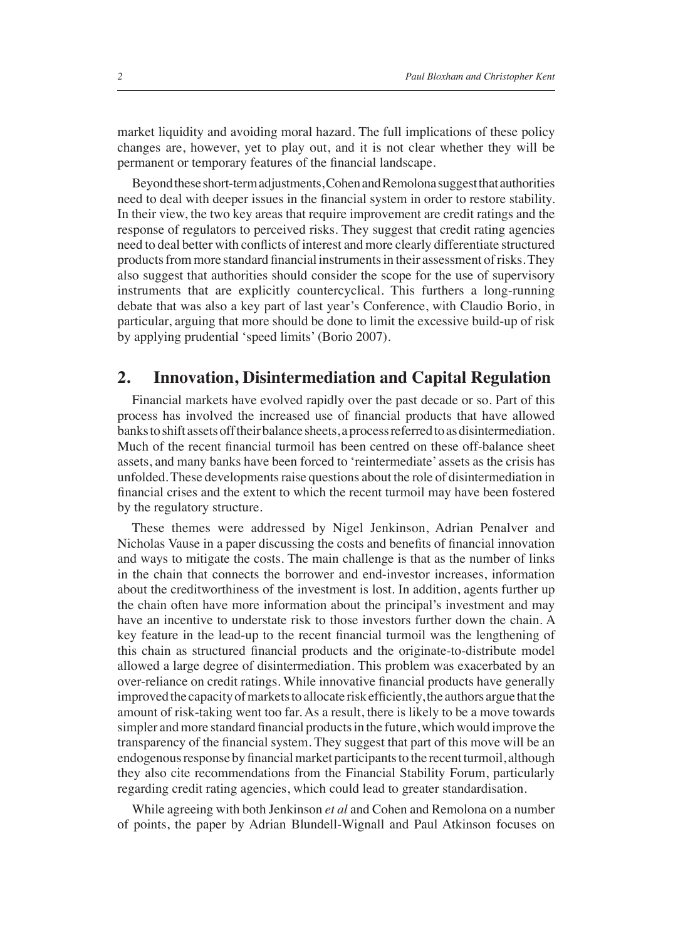market liquidity and avoiding moral hazard. The full implications of these policy changes are, however, yet to play out, and it is not clear whether they will be permanent or temporary features of the financial landscape.

Beyond these short-term adjustments, Cohen and Remolona suggest that authorities need to deal with deeper issues in the financial system in order to restore stability. In their view, the two key areas that require improvement are credit ratings and the response of regulators to perceived risks. They suggest that credit rating agencies need to deal better with conflicts of interest and more clearly differentiate structured products from more standard financial instruments in their assessment of risks. They also suggest that authorities should consider the scope for the use of supervisory instruments that are explicitly countercyclical. This furthers a long-running debate that was also a key part of last year's Conference, with Claudio Borio, in particular, arguing that more should be done to limit the excessive build-up of risk by applying prudential 'speed limits' (Borio 2007).

#### **2. Innovation, Disintermediation and Capital Regulation**

Financial markets have evolved rapidly over the past decade or so. Part of this process has involved the increased use of financial products that have allowed banks to shift assets off their balance sheets, a process referred to as disintermediation. Much of the recent financial turmoil has been centred on these off-balance sheet assets, and many banks have been forced to 'reintermediate' assets as the crisis has unfolded. These developments raise questions about the role of disintermediation in financial crises and the extent to which the recent turmoil may have been fostered by the regulatory structure.

These themes were addressed by Nigel Jenkinson, Adrian Penalver and Nicholas Vause in a paper discussing the costs and benefits of financial innovation and ways to mitigate the costs. The main challenge is that as the number of links in the chain that connects the borrower and end-investor increases, information about the creditworthiness of the investment is lost. In addition, agents further up the chain often have more information about the principal's investment and may have an incentive to understate risk to those investors further down the chain. A key feature in the lead-up to the recent financial turmoil was the lengthening of this chain as structured financial products and the originate-to-distribute model allowed a large degree of disintermediation. This problem was exacerbated by an over-reliance on credit ratings. While innovative financial products have generally improved the capacity of markets to allocate risk efficiently, the authors argue that the amount of risk-taking went too far. As a result, there is likely to be a move towards simpler and more standard financial products in the future, which would improve the transparency of the financial system. They suggest that part of this move will be an endogenous response by financial market participants to the recent turmoil, although they also cite recommendations from the Financial Stability Forum, particularly regarding credit rating agencies, which could lead to greater standardisation.

While agreeing with both Jenkinson *et al* and Cohen and Remolona on a number of points, the paper by Adrian Blundell-Wignall and Paul Atkinson focuses on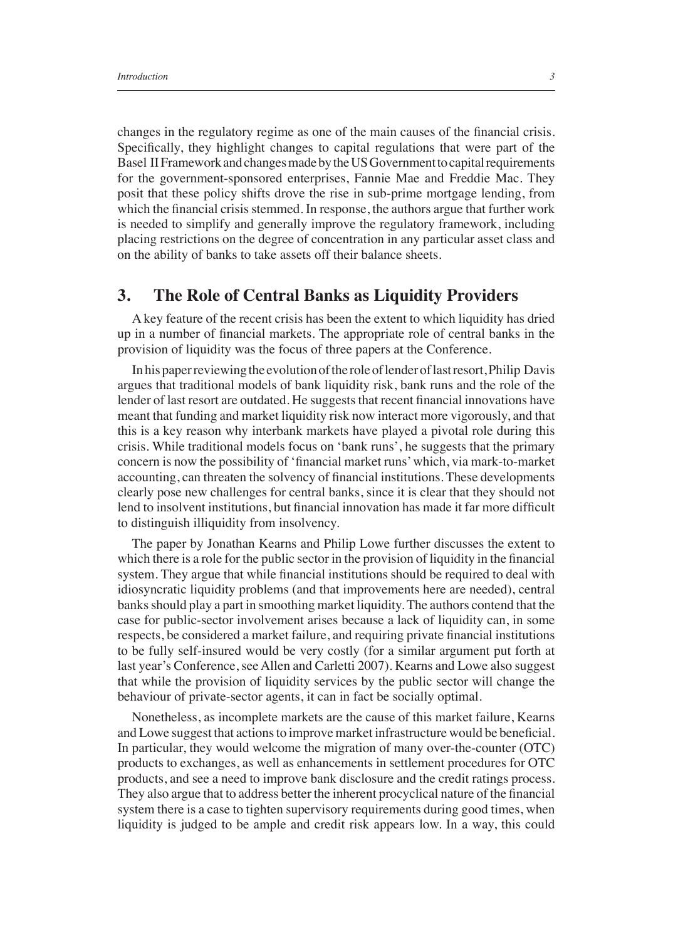changes in the regulatory regime as one of the main causes of the financial crisis. Specifically, they highlight changes to capital regulations that were part of the Basel II Framework and changes made by the US Government to capital requirements for the government-sponsored enterprises, Fannie Mae and Freddie Mac. They posit that these policy shifts drove the rise in sub-prime mortgage lending, from which the financial crisis stemmed. In response, the authors argue that further work is needed to simplify and generally improve the regulatory framework, including placing restrictions on the degree of concentration in any particular asset class and on the ability of banks to take assets off their balance sheets.

#### **3. The Role of Central Banks as Liquidity Providers**

A key feature of the recent crisis has been the extent to which liquidity has dried up in a number of financial markets. The appropriate role of central banks in the provision of liquidity was the focus of three papers at the Conference.

In his paper reviewing the evolution of the role of lender of last resort, Philip Davis argues that traditional models of bank liquidity risk, bank runs and the role of the lender of last resort are outdated. He suggests that recent financial innovations have meant that funding and market liquidity risk now interact more vigorously, and that this is a key reason why interbank markets have played a pivotal role during this crisis. While traditional models focus on 'bank runs', he suggests that the primary concern is now the possibility of 'financial market runs' which, via mark-to-market accounting, can threaten the solvency of financial institutions. These developments clearly pose new challenges for central banks, since it is clear that they should not lend to insolvent institutions, but financial innovation has made it far more difficult to distinguish illiquidity from insolvency.

The paper by Jonathan Kearns and Philip Lowe further discusses the extent to which there is a role for the public sector in the provision of liquidity in the financial system. They argue that while financial institutions should be required to deal with idiosyncratic liquidity problems (and that improvements here are needed), central banks should play a part in smoothing market liquidity. The authors contend that the case for public-sector involvement arises because a lack of liquidity can, in some respects, be considered a market failure, and requiring private financial institutions to be fully self-insured would be very costly (for a similar argument put forth at last year's Conference, see Allen and Carletti 2007). Kearns and Lowe also suggest that while the provision of liquidity services by the public sector will change the behaviour of private-sector agents, it can in fact be socially optimal.

Nonetheless, as incomplete markets are the cause of this market failure, Kearns and Lowe suggest that actions to improve market infrastructure would be beneficial. In particular, they would welcome the migration of many over-the-counter (OTC) products to exchanges, as well as enhancements in settlement procedures for OTC products, and see a need to improve bank disclosure and the credit ratings process. They also argue that to address better the inherent procyclical nature of the financial system there is a case to tighten supervisory requirements during good times, when liquidity is judged to be ample and credit risk appears low. In a way, this could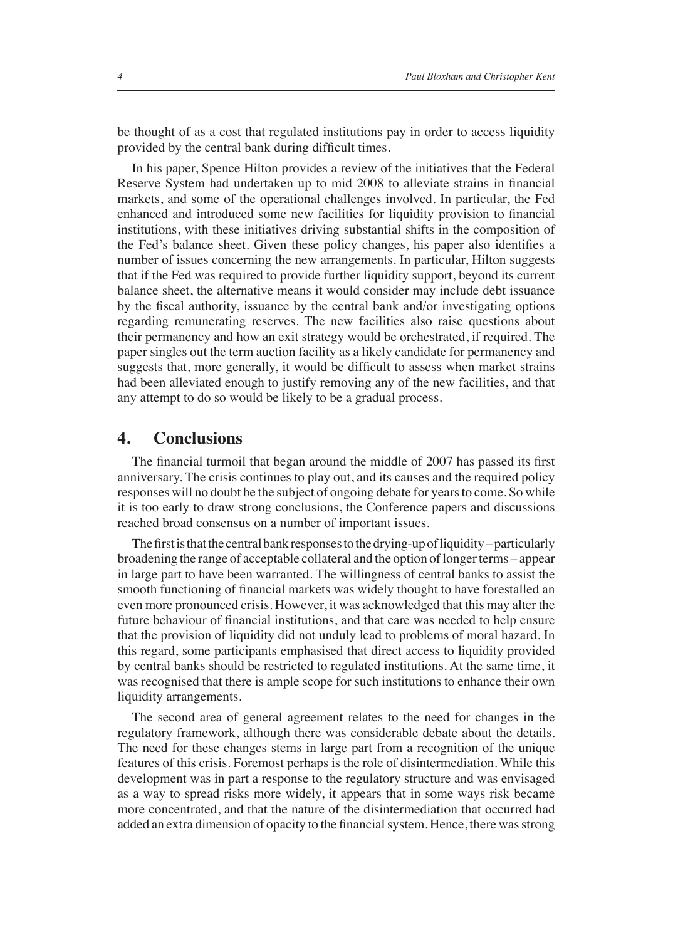be thought of as a cost that regulated institutions pay in order to access liquidity provided by the central bank during difficult times.

In his paper, Spence Hilton provides a review of the initiatives that the Federal Reserve System had undertaken up to mid 2008 to alleviate strains in financial markets, and some of the operational challenges involved. In particular, the Fed enhanced and introduced some new facilities for liquidity provision to financial institutions, with these initiatives driving substantial shifts in the composition of the Fed's balance sheet. Given these policy changes, his paper also identifies a number of issues concerning the new arrangements. In particular, Hilton suggests that if the Fed was required to provide further liquidity support, beyond its current balance sheet, the alternative means it would consider may include debt issuance by the fiscal authority, issuance by the central bank and/or investigating options regarding remunerating reserves. The new facilities also raise questions about their permanency and how an exit strategy would be orchestrated, if required. The paper singles out the term auction facility as a likely candidate for permanency and suggests that, more generally, it would be difficult to assess when market strains had been alleviated enough to justify removing any of the new facilities, and that any attempt to do so would be likely to be a gradual process.

#### **4. Conclusions**

The financial turmoil that began around the middle of 2007 has passed its first anniversary. The crisis continues to play out, and its causes and the required policy responses will no doubt be the subject of ongoing debate for years to come. So while it is too early to draw strong conclusions, the Conference papers and discussions reached broad consensus on a number of important issues.

The first is that the central bank responses to the drying-up of liquidity – particularly broadening the range of acceptable collateral and the option of longer terms – appear in large part to have been warranted. The willingness of central banks to assist the smooth functioning of financial markets was widely thought to have forestalled an even more pronounced crisis. However, it was acknowledged that this may alter the future behaviour of financial institutions, and that care was needed to help ensure that the provision of liquidity did not unduly lead to problems of moral hazard. In this regard, some participants emphasised that direct access to liquidity provided by central banks should be restricted to regulated institutions. At the same time, it was recognised that there is ample scope for such institutions to enhance their own liquidity arrangements.

The second area of general agreement relates to the need for changes in the regulatory framework, although there was considerable debate about the details. The need for these changes stems in large part from a recognition of the unique features of this crisis. Foremost perhaps is the role of disintermediation. While this development was in part a response to the regulatory structure and was envisaged as a way to spread risks more widely, it appears that in some ways risk became more concentrated, and that the nature of the disintermediation that occurred had added an extra dimension of opacity to the financial system. Hence, there was strong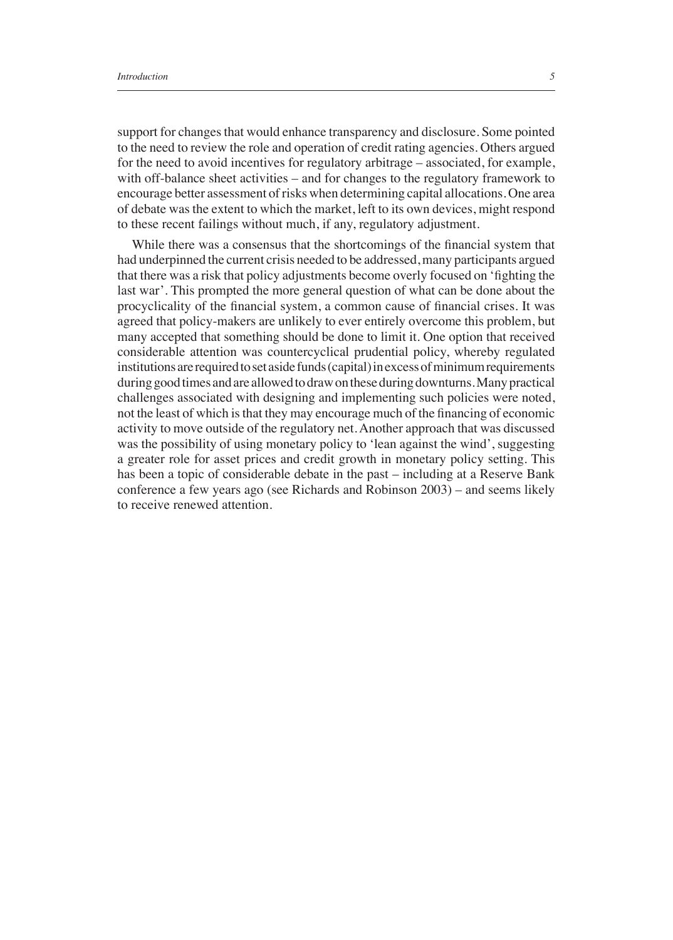support for changes that would enhance transparency and disclosure. Some pointed to the need to review the role and operation of credit rating agencies. Others argued for the need to avoid incentives for regulatory arbitrage – associated, for example, with off-balance sheet activities – and for changes to the regulatory framework to encourage better assessment of risks when determining capital allocations. One area of debate was the extent to which the market, left to its own devices, might respond to these recent failings without much, if any, regulatory adjustment.

While there was a consensus that the shortcomings of the financial system that had underpinned the current crisis needed to be addressed, many participants argued that there was a risk that policy adjustments become overly focused on 'fighting the last war'. This prompted the more general question of what can be done about the procyclicality of the financial system, a common cause of financial crises. It was agreed that policy-makers are unlikely to ever entirely overcome this problem, but many accepted that something should be done to limit it. One option that received considerable attention was countercyclical prudential policy, whereby regulated institutions are required to set aside funds (capital) in excess of minimum requirements during good times and are allowed to draw on these during downturns. Many practical challenges associated with designing and implementing such policies were noted, not the least of which is that they may encourage much of the financing of economic activity to move outside of the regulatory net. Another approach that was discussed was the possibility of using monetary policy to 'lean against the wind', suggesting a greater role for asset prices and credit growth in monetary policy setting. This has been a topic of considerable debate in the past – including at a Reserve Bank conference a few years ago (see Richards and Robinson 2003) – and seems likely to receive renewed attention.